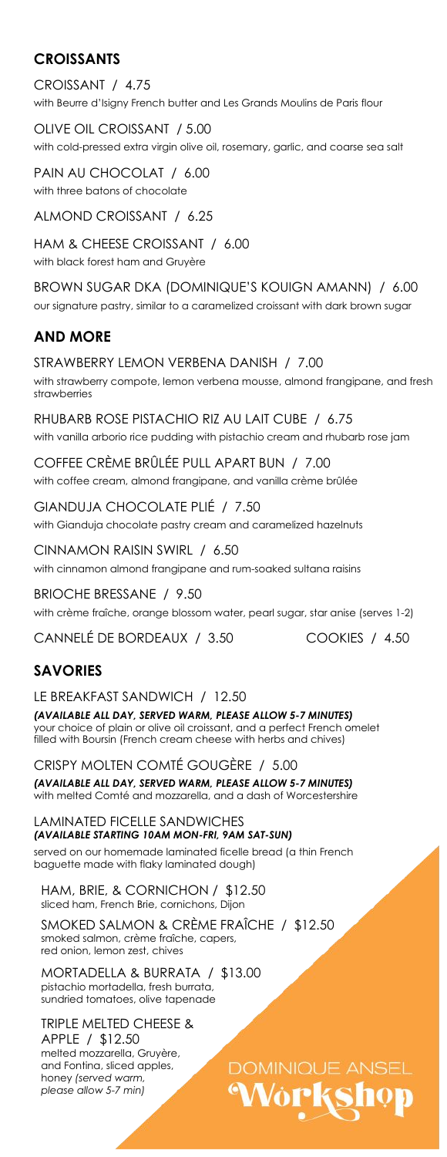## **CROISSANTS**

CROISSANT / 4.75 with Beurre d'Isigny French butter and Les Grands Moulins de Paris flour

OLIVE OIL CROISSANT / 5.00 with cold-pressed extra virgin olive oil, rosemary, garlic, and coarse sea salt

PAIN AU CHOCOLAT / 6.00 with three batons of chocolate

ALMOND CROISSANT / 6.25

HAM & CHEESE CROISSANT / 6.00 with black forest ham and Gruyère

BROWN SUGAR DKA (DOMINIQUE'S KOUIGN AMANN) / 6.00 our signature pastry, similar to a caramelized croissant with dark brown sugar

# **AND MORE**

STRAWBERRY LEMON VERBENA DANISH / 7.00 with strawberry compote, lemon verbena mousse, almond frangipane, and fresh strawberries

RHUBARB ROSE PISTACHIO RIZ AU LAIT CUBE / 6.75 with vanilla arborio rice pudding with pistachio cream and rhubarb rose jam

COFFEE CRÈME BRÛLÉE PULL APART BUN / 7.00 with coffee cream, almond frangipane, and vanilla crème brûlée

GIANDUJA CHOCOLATE PLIÉ / 7.50 with Gianduja chocolate pastry cream and caramelized hazelnuts

CINNAMON RAISIN SWIRL / 6.50 with cinnamon almond frangipane and rum-soaked sultana raisins

#### BRIOCHE BRESSANE / 9.50

with crème fraîche, orange blossom water, pearl sugar, star anise (serves 1-2)

CANNELÉ DE BORDEAUX / 3.50 COOKIES / 4.50

## **SAVORIES**

LE BREAKFAST SANDWICH / 12.50

*(AVAILABLE ALL DAY, SERVED WARM, PLEASE ALLOW 5-7 MINUTES)* your choice of plain or olive oil croissant, and a perfect French omelet filled with Boursin (French cream cheese with herbs and chives)

CRISPY MOLTEN COMTÉ GOUGÈRE / 5.00 *(AVAILABLE ALL DAY, SERVED WARM, PLEASE ALLOW 5-7 MINUTES)* with melted Comté and mozzarella, and a dash of Worcestershire

LAMINATED FICELLE SANDWICHES *(AVAILABLE STARTING 10AM MON-FRI, 9AM SAT-SUN)* served on our homemade laminated ficelle bread (a thin French baguette made with flaky laminated dough)

HAM, BRIE, & CORNICHON / \$12.50 sliced ham, French Brie, cornichons, Dijon

SMOKED SALMON & CRÈME FRAÎCHE / \$12.50 smoked salmon, crème fraîche, capers, red onion, lemon zest, chives

**DOMINIQUE ANSEL** 

Wo**rkshop** 

MORTADELLA & BURRATA / \$13.00 pistachio mortadella, fresh burrata, sundried tomatoes, olive tapenade

TRIPLE MELTED CHEESE & APPLE / \$12.50 melted mozzarella, Gruyère, and Fontina, sliced apples, honey *(served warm, please allow 5-7 min)*